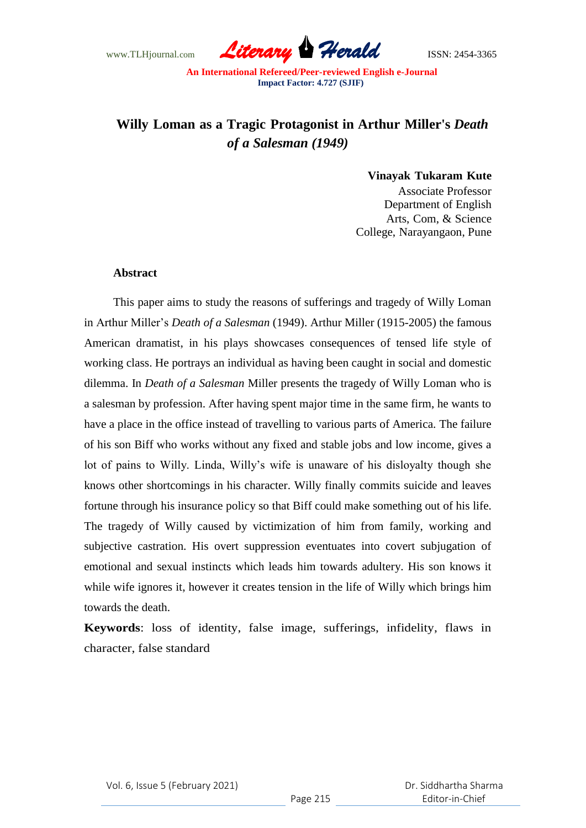

# **Willy Loman as a Tragic Protagonist in Arthur Miller's** *Death of a Salesman (1949)*

#### **Vinayak Tukaram Kute**

Associate Professor Department of English Arts, Com, & Science College, Narayangaon, Pune

#### **Abstract**

This paper aims to study the reasons of sufferings and tragedy of Willy Loman in Arthur Miller's *Death of a Salesman* (1949). Arthur Miller (1915-2005) the famous American dramatist, in his plays showcases consequences of tensed life style of working class. He portrays an individual as having been caught in social and domestic dilemma. In *Death of a Salesman* Miller presents the tragedy of Willy Loman who is a salesman by profession. After having spent major time in the same firm, he wants to have a place in the office instead of travelling to various parts of America. The failure of his son Biff who works without any fixed and stable jobs and low income, gives a lot of pains to Willy. Linda, Willy's wife is unaware of his disloyalty though she knows other shortcomings in his character. Willy finally commits suicide and leaves fortune through his insurance policy so that Biff could make something out of his life. The tragedy of Willy caused by victimization of him from family, working and subjective castration. His overt suppression eventuates into covert subjugation of emotional and sexual instincts which leads him towards adultery. His son knows it while wife ignores it, however it creates tension in the life of Willy which brings him towards the death.

**Keywords**: loss of identity, false image, sufferings, infidelity, flaws in character, false standard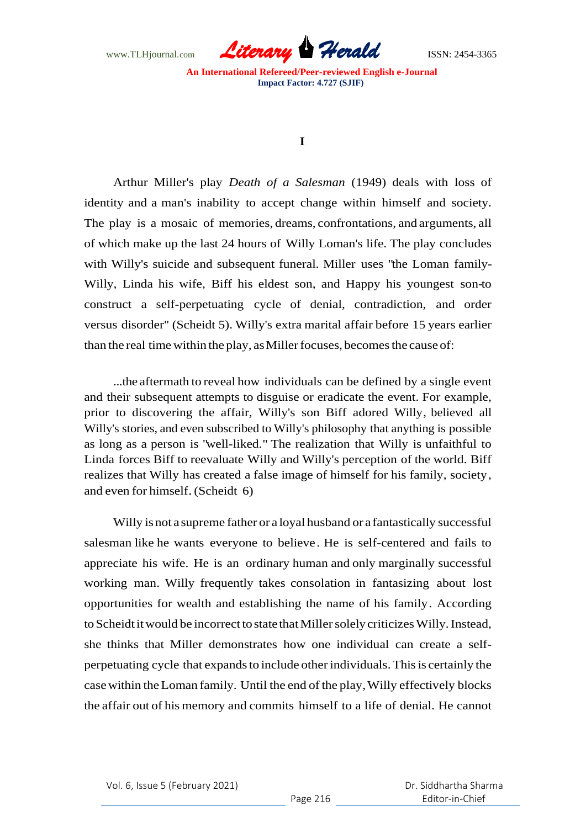

## **I**

Arthur Miller's play *Death of a Salesman* (1949) deals with loss of identity and a man's inability to accept change within himself and society. The play is a mosaic of memories, dreams, confrontations, and arguments, all of which make up the last 24 hours of Willy Loman's life. The play concludes with Willy's suicide and subsequent funeral. Miller uses "the Loman family-Willy, Linda his wife, Biff his eldest son, and Happy his youngest son-to construct a self-perpetuating cycle of denial, contradiction, and order versus disorder" (Scheidt 5). Willy's extra marital affair before 15 years earlier than the real time within the play, as Miller focuses, becomes the cause of:

...the aftermath to reveal how individuals can be defined by a single event and their subsequent attempts to disguise or eradicate the event. For example, prior to discovering the affair, Willy's son Biff adored Willy, believed all Willy's stories, and even subscribed to Willy's philosophy that anything is possible as long as a person is "well-liked." The realization that Willy is unfaithful to Linda forces Biff to reevaluate Willy and Willy's perception of the world. Biff realizes that Willy has created a false image of himself for his family, society, and even for himself.(Scheidt 6)

Willy isnot a supreme father or a loyal husband or a fantastically successful salesman like he wants everyone to believe. He is self-centered and fails to appreciate his wife. He is an ordinary human and only marginally successful working man. Willy frequently takes consolation in fantasizing about lost opportunities for wealth and establishing the name of his family. According to Scheidt it would be incorrect to state that Miller solely criticizes Willy. Instead, she thinks that Miller demonstrates how one individual can create a selfperpetuating cycle that expands to include other individuals. This is certainly the case within the Loman family. Until the end of the play, Willy effectively blocks the affair out of his memory and commits himself to a life of denial. He cannot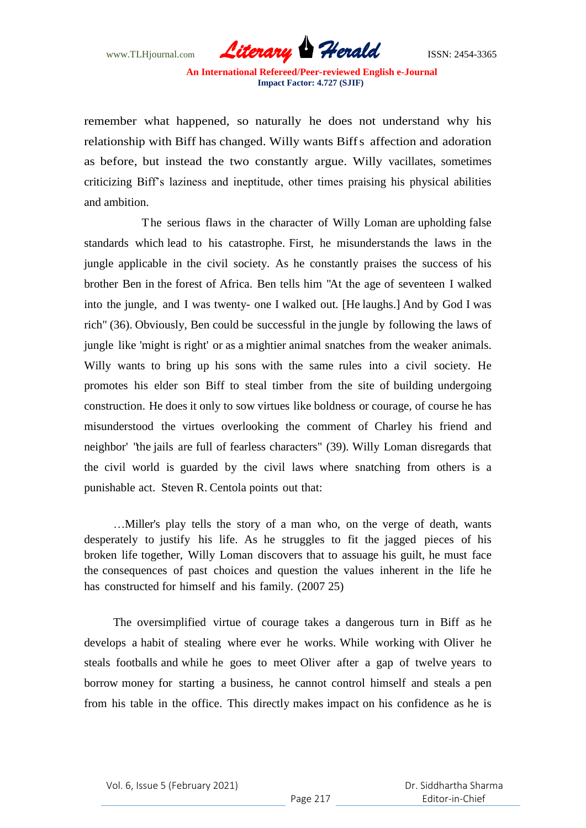

remember what happened, so naturally he does not understand why his relationship with Biff has changed. Willy wants Biffs affection and adoration as before, but instead the two constantly argue. Willy vacillates, sometimes criticizing Biff's laziness and ineptitude, other times praising his physical abilities and ambition.

The serious flaws in the character of Willy Loman are upholding false standards which lead to his catastrophe. First, he misunderstands the laws in the jungle applicable in the civil society. As he constantly praises the success of his brother Ben in the forest of Africa. Ben tells him "At the age of seventeen I walked into the jungle, and I was twenty- one I walked out. [He laughs.] And by God I was rich" (36). Obviously, Ben could be successful in the jungle by following the laws of jungle like 'might is right' or as a mightier animal snatches from the weaker animals. Willy wants to bring up his sons with the same rules into a civil society. He promotes his elder son Biff to steal timber from the site of building undergoing construction. He does it only to sow virtues like boldness or courage, of course he has misunderstood the virtues overlooking the comment of Charley his friend and neighbor' "the jails are full of fearless characters" (39). Willy Loman disregards that the civil world is guarded by the civil laws where snatching from others is a punishable act. Steven R. Centola points out that:

…Miller's play tells the story of a man who, on the verge of death, wants desperately to justify his life. As he struggles to fit the jagged pieces of his broken life together, Willy Loman discovers that to assuage his guilt, he must face the consequences of past choices and question the values inherent in the life he has constructed for himself and his family. (2007 25)

The oversimplified virtue of courage takes a dangerous turn in Biff as he develops a habit of stealing where ever he works. While working with Oliver he steals footballs and while he goes to meet Oliver after a gap of twelve years to borrow money for starting a business, he cannot control himself and steals a pen from his table in the office. This directly makes impact on his confidence as he is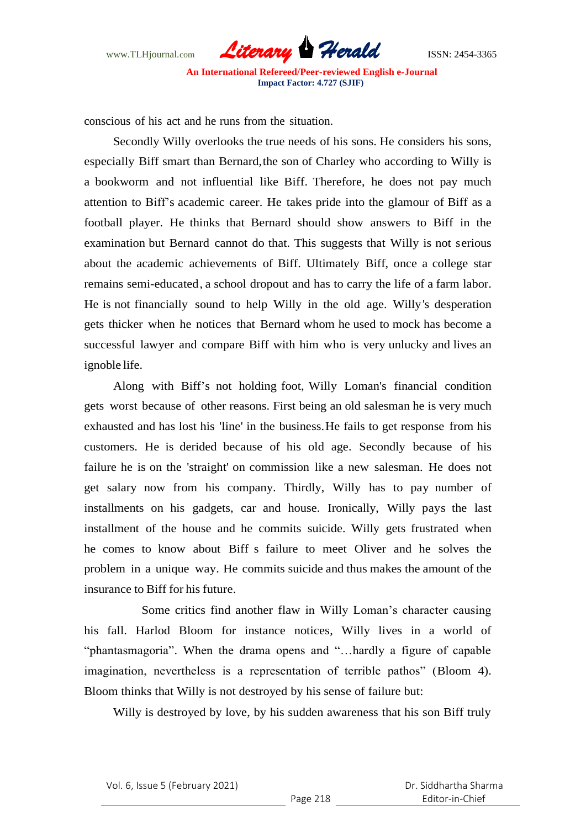

conscious of his act and he runs from the situation.

Secondly Willy overlooks the true needs of his sons. He considers his sons, especially Biff smart than Bernard,the son of Charley who according to Willy is a bookworm and not influential like Biff. Therefore, he does not pay much attention to Biff's academic career. He takes pride into the glamour of Biff as a football player. He thinks that Bernard should show answers to Biff in the examination but Bernard cannot do that. This suggests that Willy is not serious about the academic achievements of Biff. Ultimately Biff, once a college star remains semi-educated, a school dropout and has to carry the life of a farm labor. He is not financially sound to help Willy in the old age. Willy's desperation gets thicker when he notices that Bernard whom he used to mock has become a successful lawyer and compare Biff with him who is very unlucky and lives an ignoble life.

Along with Biff's not holding foot, Willy Loman's financial condition gets worst because of other reasons. First being an old salesman he is very much exhausted and has lost his 'line' in the business. He fails to get response from his customers. He is derided because of his old age. Secondly because of his failure he is on the 'straight' on commission like a new salesman. He does not get salary now from his company. Thirdly, Willy has to pay number of installments on his gadgets, car and house. Ironically, Willy pays the last installment of the house and he commits suicide. Willy gets frustrated when he comes to know about Biff s failure to meet Oliver and he solves the problem in a unique way. He commits suicide and thus makes the amount of the insurance to Biff for his future.

Some critics find another flaw in Willy Loman's character causing his fall. Harlod Bloom for instance notices, Willy lives in a world of "phantasmagoria". When the drama opens and "…hardly a figure of capable imagination, nevertheless is a representation of terrible pathos" (Bloom 4). Bloom thinks that Willy is not destroyed by his sense of failure but:

Willy is destroyed by love, by his sudden awareness that his son Biff truly

Vol. 6, Issue 5 (February 2021)

 Dr. Siddhartha Sharma Editor-in-Chief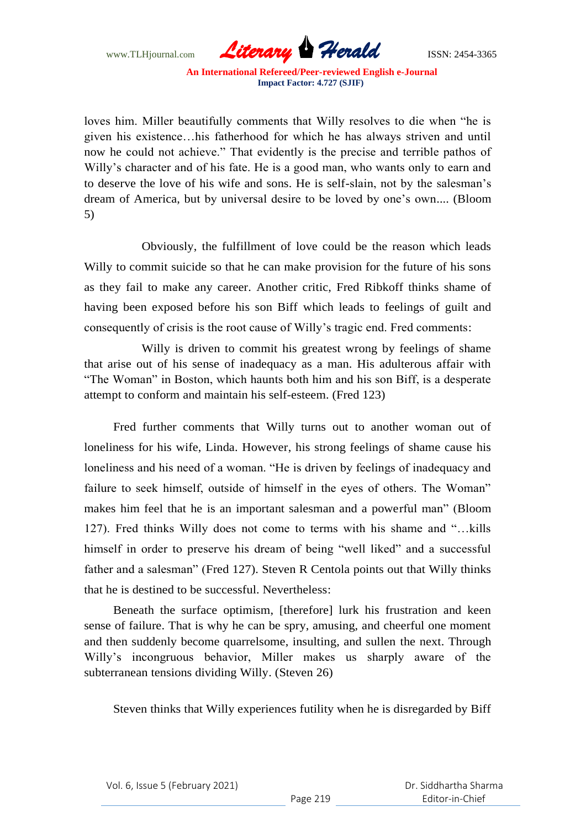

loves him. Miller beautifully comments that Willy resolves to die when "he is given his existence…his fatherhood for which he has always striven and until now he could not achieve." That evidently is the precise and terrible pathos of Willy's character and of his fate. He is a good man, who wants only to earn and to deserve the love of his wife and sons. He is self-slain, not by the salesman's dream of America, but by universal desire to be loved by one's own.... (Bloom 5)

Obviously, the fulfillment of love could be the reason which leads Willy to commit suicide so that he can make provision for the future of his sons as they fail to make any career. Another critic, Fred Ribkoff thinks shame of having been exposed before his son Biff which leads to feelings of guilt and consequently of crisis is the root cause of Willy's tragic end. Fred comments:

Willy is driven to commit his greatest wrong by feelings of shame that arise out of his sense of inadequacy as a man. His adulterous affair with "The Woman" in Boston, which haunts both him and his son Biff, is a desperate attempt to conform and maintain his self-esteem. (Fred 123)

Fred further comments that Willy turns out to another woman out of loneliness for his wife, Linda. However, his strong feelings of shame cause his loneliness and his need of a woman. "He is driven by feelings of inadequacy and failure to seek himself, outside of himself in the eyes of others. The Woman" makes him feel that he is an important salesman and a powerful man" (Bloom 127). Fred thinks Willy does not come to terms with his shame and "…kills himself in order to preserve his dream of being "well liked" and a successful father and a salesman" (Fred 127). Steven R Centola points out that Willy thinks that he is destined to be successful. Nevertheless:

Beneath the surface optimism, [therefore] lurk his frustration and keen sense of failure. That is why he can be spry, amusing, and cheerful one moment and then suddenly become quarrelsome, insulting, and sullen the next. Through Willy's incongruous behavior, Miller makes us sharply aware of the subterranean tensions dividing Willy. (Steven 26)

Steven thinks that Willy experiences futility when he is disregarded by Biff

Vol. 6, Issue 5 (February 2021)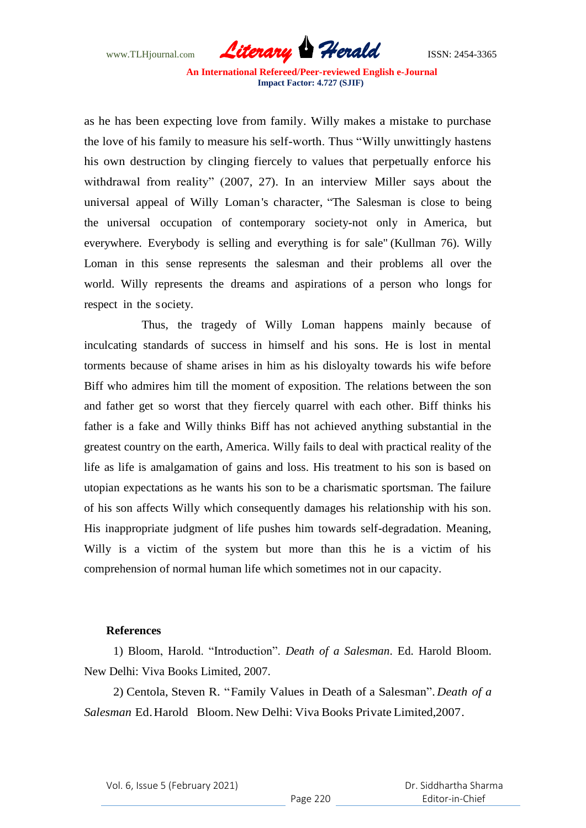

as he has been expecting love from family. Willy makes a mistake to purchase the love of his family to measure his self-worth. Thus "Willy unwittingly hastens his own destruction by clinging fiercely to values that perpetually enforce his withdrawal from reality" (2007, 27). In an interview Miller says about the universal appeal of Willy Loman's character, "The Salesman is close to being the universal occupation of contemporary society-not only in America, but everywhere. Everybody is selling and everything is for sale" (Kullman 76). Willy Loman in this sense represents the salesman and their problems all over the world. Willy represents the dreams and aspirations of a person who longs for respect in the society.

Thus, the tragedy of Willy Loman happens mainly because of inculcating standards of success in himself and his sons. He is lost in mental torments because of shame arises in him as his disloyalty towards his wife before Biff who admires him till the moment of exposition. The relations between the son and father get so worst that they fiercely quarrel with each other. Biff thinks his father is a fake and Willy thinks Biff has not achieved anything substantial in the greatest country on the earth, America. Willy fails to deal with practical reality of the life as life is amalgamation of gains and loss. His treatment to his son is based on utopian expectations as he wants his son to be a charismatic sportsman. The failure of his son affects Willy which consequently damages his relationship with his son. His inappropriate judgment of life pushes him towards self-degradation. Meaning, Willy is a victim of the system but more than this he is a victim of his comprehension of normal human life which sometimes not in our capacity.

### **References**

1) Bloom, Harold. "Introduction". *Death of a Salesman*. Ed. Harold Bloom. New Delhi: Viva Books Limited, 2007.

2) Centola, Steven R. "Family Values in Death of a Salesman". *Death of a Salesman* Ed.Harold Bloom. New Delhi: Viva Books Private Limited,2007.

Vol. 6, Issue 5 (February 2021)